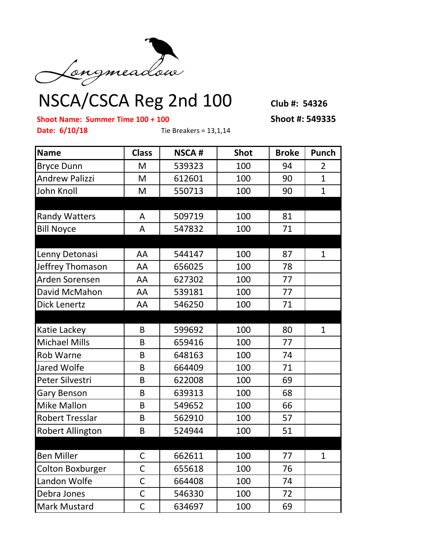

## NSCA/CSCA Reg 2nd 100 **Club #: 54326**

**Shoot Name: Summer Time 100 + 100 Shoot #: 549335**

**Date: 6/10/18** Tie Breakers = 13,1,14

| <b>Name</b>             | <b>Class</b> | <b>NSCA#</b> | <b>Shot</b> | <b>Broke</b> | Punch          |
|-------------------------|--------------|--------------|-------------|--------------|----------------|
| <b>Bryce Dunn</b>       | M            | 539323       | 100         | 94           | $\overline{2}$ |
| <b>Andrew Palizzi</b>   | M            | 612601       | 100         | 90           | $\mathbf{1}$   |
| John Knoll              | M            | 550713       | 100         | 90           | $\mathbf{1}$   |
| <b>Randy Watters</b>    | A            | 509719       | 100         | 81           |                |
| <b>Bill Noyce</b>       | A            | 547832       | 100         | 71           |                |
| Lenny Detonasi          | AA           | 544147       | 100         | 87           | $\mathbf{1}$   |
| Jeffrey Thomason        | AA           | 656025       | 100         | 78           |                |
| Arden Sorensen          | AA           | 627302       | 100         | 77           |                |
| David McMahon           | AA           | 539181       | 100         | 77           |                |
| <b>Dick Lenertz</b>     | AA           | 546250       | 100         | 71           |                |
|                         |              |              |             |              |                |
| Katie Lackey            | B            | 599692       | 100         | 80           | $\mathbf{1}$   |
| <b>Michael Mills</b>    | B            | 659416       | 100         | 77           |                |
| <b>Rob Warne</b>        | B            | 648163       | 100         | 74           |                |
| Jared Wolfe             | B            | 664409       | 100         | 71           |                |
| Peter Silvestri         | B            | 622008       | 100         | 69           |                |
| Gary Benson             | B            | 639313       | 100         | 68           |                |
| <b>Mike Mallon</b>      | B            | 549652       | 100         | 66           |                |
| <b>Robert Tresslar</b>  | B            | 562910       | 100         | 57           |                |
| <b>Robert Allington</b> | B            | 524944       | 100         | 51           |                |
| <b>Ben Miller</b>       | $\mathsf{C}$ | 662611       | 100         | 77           | $\mathbf{1}$   |
| <b>Colton Boxburger</b> | $\mathsf C$  | 655618       | 100         | 76           |                |
| Landon Wolfe            | C            | 664408       | 100         | 74           |                |
| Debra Jones             | $\mathsf C$  | 546330       | 100         | 72           |                |
| <b>Mark Mustard</b>     | C            | 634697       | 100         | 69           |                |